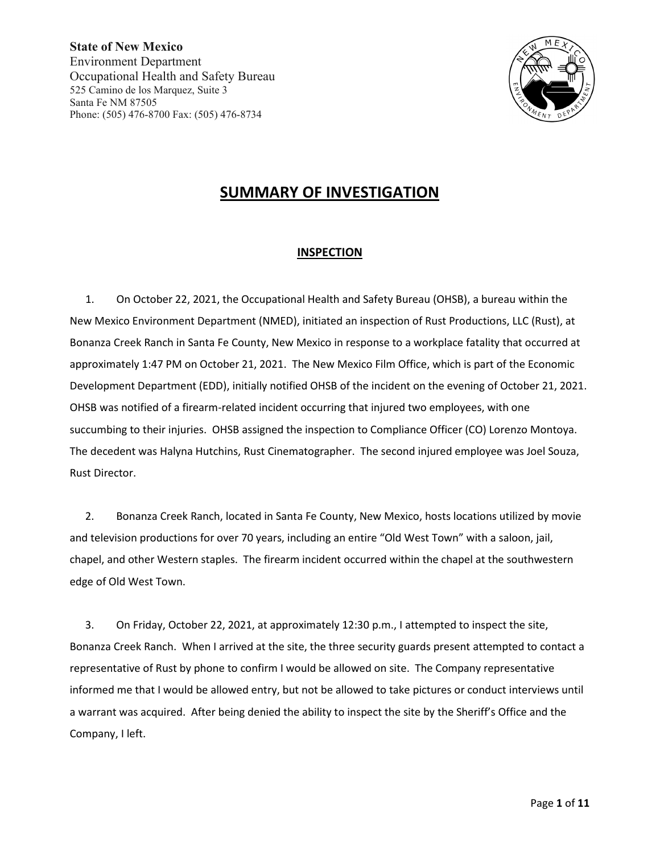

# **SUMMARY OF INVESTIGATION**

## **INSPECTION**

1. On October 22, 2021, the Occupational Health and Safety Bureau (OHSB), a bureau within the New Mexico Environment Department (NMED), initiated an inspection of Rust Productions, LLC (Rust), at Bonanza Creek Ranch in Santa Fe County, New Mexico in response to a workplace fatality that occurred at approximately 1:47 PM on October 21, 2021. The New Mexico Film Office, which is part of the Economic Development Department (EDD), initially notified OHSB of the incident on the evening of October 21, 2021. OHSB was notified of a firearm-related incident occurring that injured two employees, with one succumbing to their injuries. OHSB assigned the inspection to Compliance Officer (CO) Lorenzo Montoya. The decedent was Halyna Hutchins, Rust Cinematographer. The second injured employee was Joel Souza, Rust Director.

2. Bonanza Creek Ranch, located in Santa Fe County, New Mexico, hosts locations utilized by movie and television productions for over 70 years, including an entire "Old West Town" with a saloon, jail, chapel, and other Western staples. The firearm incident occurred within the chapel at the southwestern edge of Old West Town.

3. On Friday, October 22, 2021, at approximately 12:30 p.m., I attempted to inspect the site, Bonanza Creek Ranch. When I arrived at the site, the three security guards present attempted to contact a representative of Rust by phone to confirm I would be allowed on site. The Company representative informed me that I would be allowed entry, but not be allowed to take pictures or conduct interviews until a warrant was acquired. After being denied the ability to inspect the site by the Sheriff's Office and the Company, I left.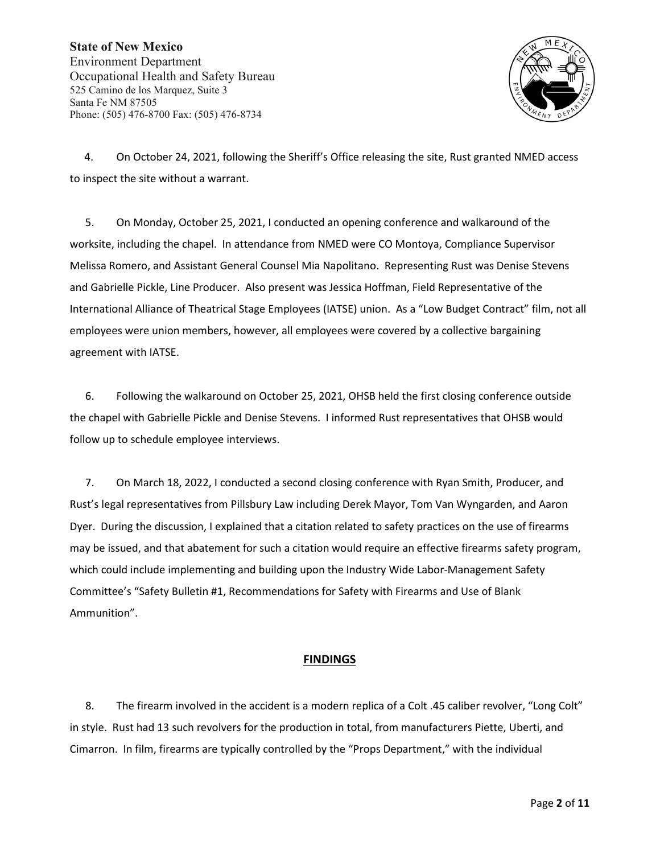

4. On October 24, 2021, following the Sheriff's Office releasing the site, Rust granted NMED access to inspect the site without a warrant.

5. On Monday, October 25, 2021, I conducted an opening conference and walkaround of the worksite, including the chapel. In attendance from NMED were CO Montoya, Compliance Supervisor Melissa Romero, and Assistant General Counsel Mia Napolitano. Representing Rust was Denise Stevens and Gabrielle Pickle, Line Producer. Also present was Jessica Hoffman, Field Representative of the International Alliance of Theatrical Stage Employees (IATSE) union. As a "Low Budget Contract" film, not all employees were union members, however, all employees were covered by a collective bargaining agreement with IATSE.

6. Following the walkaround on October 25, 2021, OHSB held the first closing conference outside the chapel with Gabrielle Pickle and Denise Stevens. I informed Rust representatives that OHSB would follow up to schedule employee interviews.

7. On March 18, 2022, I conducted a second closing conference with Ryan Smith, Producer, and Rust's legal representatives from Pillsbury Law including Derek Mayor, Tom Van Wyngarden, and Aaron Dyer. During the discussion, I explained that a citation related to safety practices on the use of firearms may be issued, and that abatement for such a citation would require an effective firearms safety program, which could include implementing and building upon the Industry Wide Labor-Management Safety Committee's "Safety Bulletin #1, Recommendations for Safety with Firearms and Use of Blank Ammunition".

## **FINDINGS**

8. The firearm involved in the accident is a modern replica of a Colt .45 caliber revolver, "Long Colt" in style. Rust had 13 such revolvers for the production in total, from manufacturers Piette, Uberti, and Cimarron. In film, firearms are typically controlled by the "Props Department," with the individual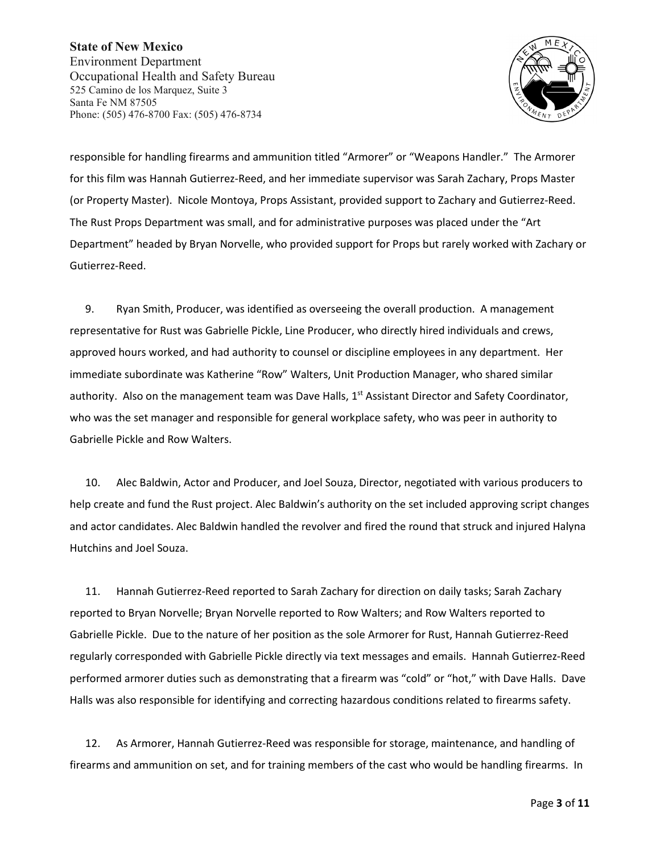

responsible for handling firearms and ammunition titled "Armorer" or "Weapons Handler." The Armorer for this film was Hannah Gutierrez-Reed, and her immediate supervisor was Sarah Zachary, Props Master (or Property Master). Nicole Montoya, Props Assistant, provided support to Zachary and Gutierrez-Reed. The Rust Props Department was small, and for administrative purposes was placed under the "Art Department" headed by Bryan Norvelle, who provided support for Props but rarely worked with Zachary or Gutierrez-Reed.

9. Ryan Smith, Producer, was identified as overseeing the overall production. A management representative for Rust was Gabrielle Pickle, Line Producer, who directly hired individuals and crews, approved hours worked, and had authority to counsel or discipline employees in any department. Her immediate subordinate was Katherine "Row" Walters, Unit Production Manager, who shared similar authority. Also on the management team was Dave Halls, 1<sup>st</sup> Assistant Director and Safety Coordinator, who was the set manager and responsible for general workplace safety, who was peer in authority to Gabrielle Pickle and Row Walters.

10. Alec Baldwin, Actor and Producer, and Joel Souza, Director, negotiated with various producers to help create and fund the Rust project. Alec Baldwin's authority on the set included approving script changes and actor candidates. Alec Baldwin handled the revolver and fired the round that struck and injured Halyna Hutchins and Joel Souza.

11. Hannah Gutierrez-Reed reported to Sarah Zachary for direction on daily tasks; Sarah Zachary reported to Bryan Norvelle; Bryan Norvelle reported to Row Walters; and Row Walters reported to Gabrielle Pickle. Due to the nature of her position as the sole Armorer for Rust, Hannah Gutierrez-Reed regularly corresponded with Gabrielle Pickle directly via text messages and emails. Hannah Gutierrez-Reed performed armorer duties such as demonstrating that a firearm was "cold" or "hot," with Dave Halls. Dave Halls was also responsible for identifying and correcting hazardous conditions related to firearms safety.

12. As Armorer, Hannah Gutierrez-Reed was responsible for storage, maintenance, and handling of firearms and ammunition on set, and for training members of the cast who would be handling firearms. In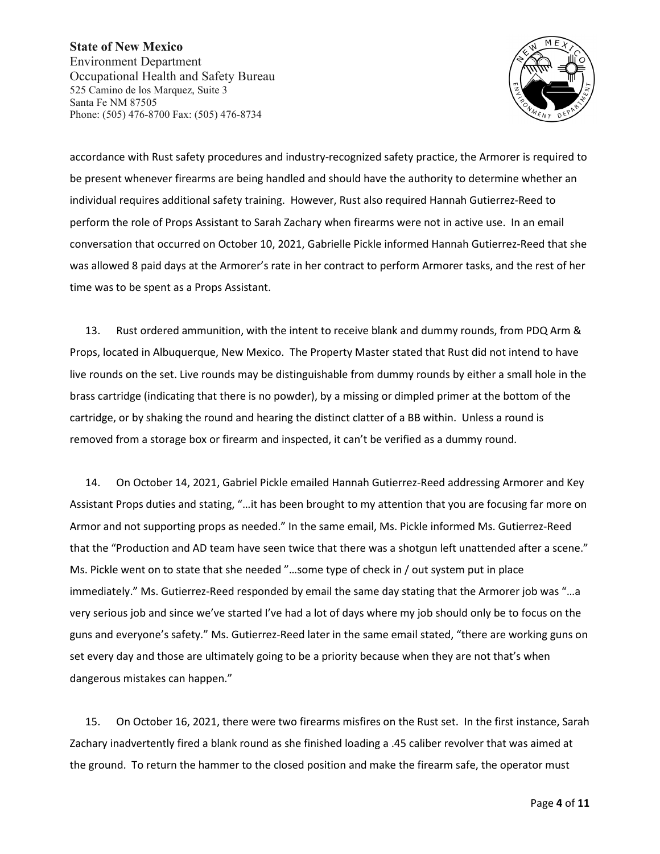

accordance with Rust safety procedures and industry-recognized safety practice, the Armorer is required to be present whenever firearms are being handled and should have the authority to determine whether an individual requires additional safety training. However, Rust also required Hannah Gutierrez-Reed to perform the role of Props Assistant to Sarah Zachary when firearms were not in active use. In an email conversation that occurred on October 10, 2021, Gabrielle Pickle informed Hannah Gutierrez-Reed that she was allowed 8 paid days at the Armorer's rate in her contract to perform Armorer tasks, and the rest of her time was to be spent as a Props Assistant.

13. Rust ordered ammunition, with the intent to receive blank and dummy rounds, from PDQ Arm & Props, located in Albuquerque, New Mexico. The Property Master stated that Rust did not intend to have live rounds on the set. Live rounds may be distinguishable from dummy rounds by either a small hole in the brass cartridge (indicating that there is no powder), by a missing or dimpled primer at the bottom of the cartridge, or by shaking the round and hearing the distinct clatter of a BB within. Unless a round is removed from a storage box or firearm and inspected, it can't be verified as a dummy round.

14. On October 14, 2021, Gabriel Pickle emailed Hannah Gutierrez-Reed addressing Armorer and Key Assistant Props duties and stating, "…it has been brought to my attention that you are focusing far more on Armor and not supporting props as needed." In the same email, Ms. Pickle informed Ms. Gutierrez-Reed that the "Production and AD team have seen twice that there was a shotgun left unattended after a scene." Ms. Pickle went on to state that she needed "…some type of check in / out system put in place immediately." Ms. Gutierrez-Reed responded by email the same day stating that the Armorer job was "…a very serious job and since we've started I've had a lot of days where my job should only be to focus on the guns and everyone's safety." Ms. Gutierrez-Reed later in the same email stated, "there are working guns on set every day and those are ultimately going to be a priority because when they are not that's when dangerous mistakes can happen."

15. On October 16, 2021, there were two firearms misfires on the Rust set. In the first instance, Sarah Zachary inadvertently fired a blank round as she finished loading a .45 caliber revolver that was aimed at the ground. To return the hammer to the closed position and make the firearm safe, the operator must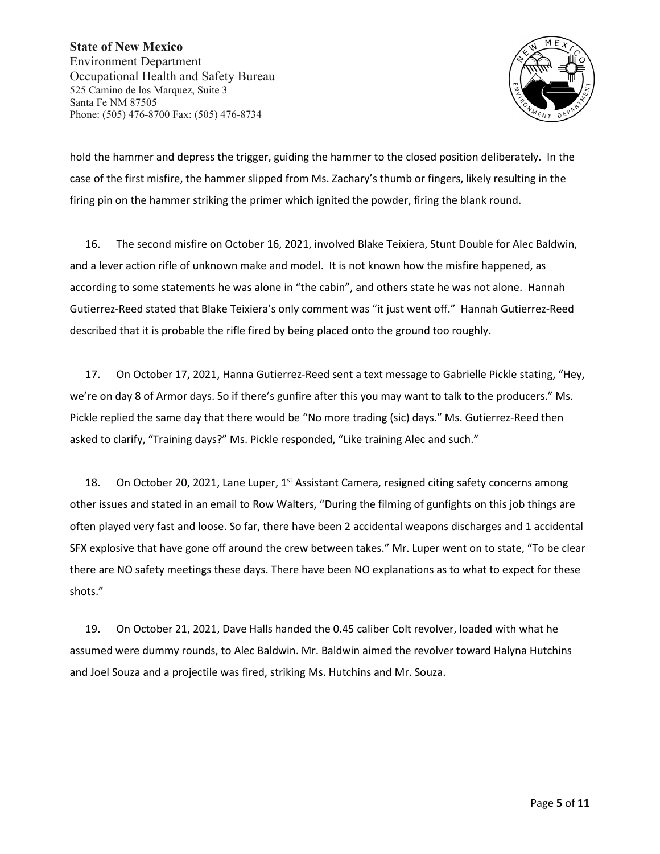

hold the hammer and depress the trigger, guiding the hammer to the closed position deliberately. In the case of the first misfire, the hammer slipped from Ms. Zachary's thumb or fingers, likely resulting in the firing pin on the hammer striking the primer which ignited the powder, firing the blank round.

16. The second misfire on October 16, 2021, involved Blake Teixiera, Stunt Double for Alec Baldwin, and a lever action rifle of unknown make and model. It is not known how the misfire happened, as according to some statements he was alone in "the cabin", and others state he was not alone. Hannah Gutierrez-Reed stated that Blake Teixiera's only comment was "it just went off." Hannah Gutierrez-Reed described that it is probable the rifle fired by being placed onto the ground too roughly.

17. On October 17, 2021, Hanna Gutierrez-Reed sent a text message to Gabrielle Pickle stating, "Hey, we're on day 8 of Armor days. So if there's gunfire after this you may want to talk to the producers." Ms. Pickle replied the same day that there would be "No more trading (sic) days." Ms. Gutierrez-Reed then asked to clarify, "Training days?" Ms. Pickle responded, "Like training Alec and such."

18. On October 20, 2021, Lane Luper,  $1<sup>st</sup>$  Assistant Camera, resigned citing safety concerns among other issues and stated in an email to Row Walters, "During the filming of gunfights on this job things are often played very fast and loose. So far, there have been 2 accidental weapons discharges and 1 accidental SFX explosive that have gone off around the crew between takes." Mr. Luper went on to state, "To be clear there are NO safety meetings these days. There have been NO explanations as to what to expect for these shots."

19. On October 21, 2021, Dave Halls handed the 0.45 caliber Colt revolver, loaded with what he assumed were dummy rounds, to Alec Baldwin. Mr. Baldwin aimed the revolver toward Halyna Hutchins and Joel Souza and a projectile was fired, striking Ms. Hutchins and Mr. Souza.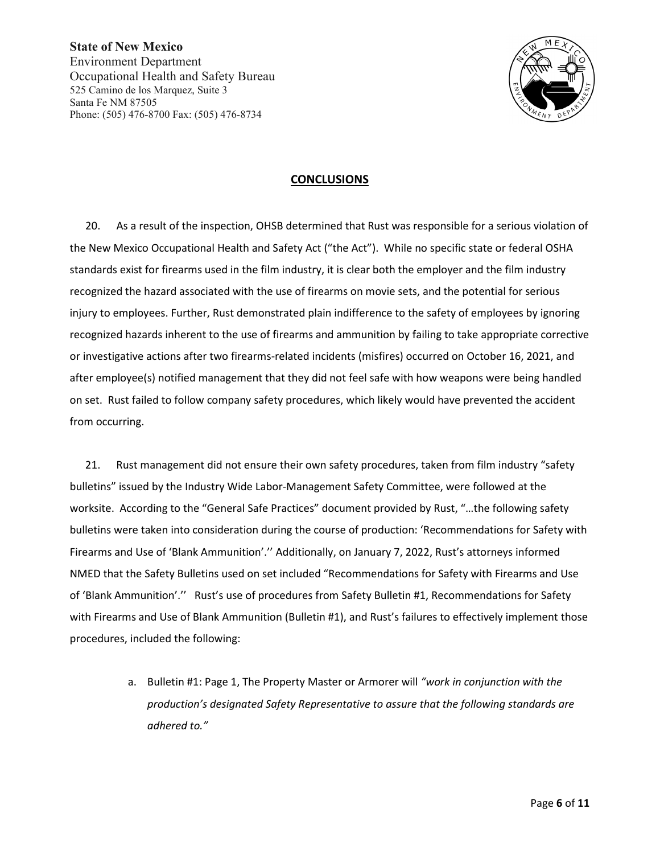

#### **CONCLUSIONS**

20. As a result of the inspection, OHSB determined that Rust was responsible for a serious violation of the New Mexico Occupational Health and Safety Act ("the Act"). While no specific state or federal OSHA standards exist for firearms used in the film industry, it is clear both the employer and the film industry recognized the hazard associated with the use of firearms on movie sets, and the potential for serious injury to employees. Further, Rust demonstrated plain indifference to the safety of employees by ignoring recognized hazards inherent to the use of firearms and ammunition by failing to take appropriate corrective or investigative actions after two firearms-related incidents (misfires) occurred on October 16, 2021, and after employee(s) notified management that they did not feel safe with how weapons were being handled on set. Rust failed to follow company safety procedures, which likely would have prevented the accident from occurring.

21. Rust management did not ensure their own safety procedures, taken from film industry "safety bulletins" issued by the Industry Wide Labor-Management Safety Committee, were followed at the worksite. According to the "General Safe Practices" document provided by Rust, "…the following safety bulletins were taken into consideration during the course of production: 'Recommendations for Safety with Firearms and Use of 'Blank Ammunition'.'' Additionally, on January 7, 2022, Rust's attorneys informed NMED that the Safety Bulletins used on set included "Recommendations for Safety with Firearms and Use of 'Blank Ammunition'.'' Rust's use of procedures from Safety Bulletin #1, Recommendations for Safety with Firearms and Use of Blank Ammunition (Bulletin #1), and Rust's failures to effectively implement those procedures, included the following:

> a. Bulletin #1: Page 1, The Property Master or Armorer will *"work in conjunction with the production's designated Safety Representative to assure that the following standards are adhered to."*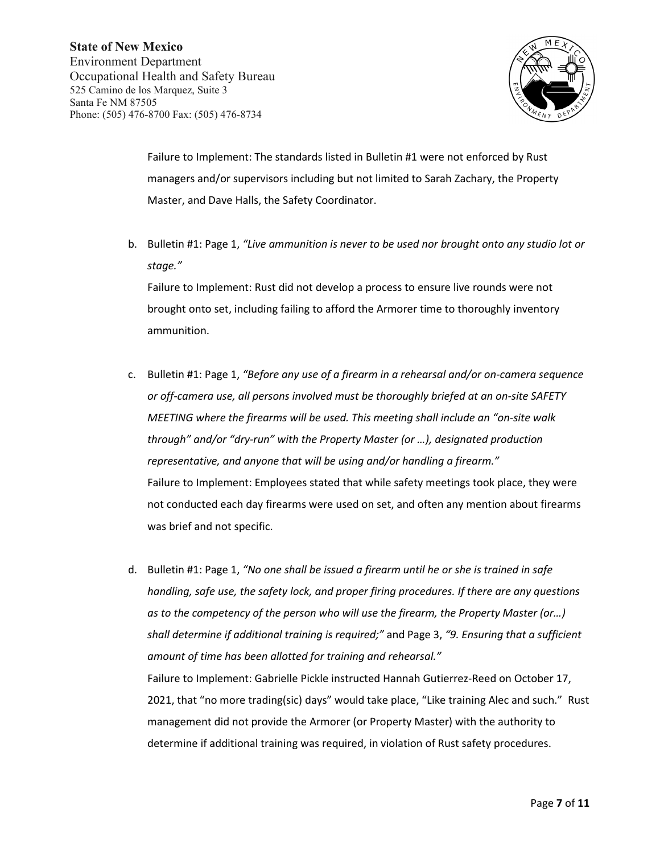

Failure to Implement: The standards listed in Bulletin #1 were not enforced by Rust managers and/or supervisors including but not limited to Sarah Zachary, the Property Master, and Dave Halls, the Safety Coordinator.

b. Bulletin #1: Page 1, *"Live ammunition is never to be used nor brought onto any studio lot or stage."* 

Failure to Implement: Rust did not develop a process to ensure live rounds were not brought onto set, including failing to afford the Armorer time to thoroughly inventory ammunition.

- c. Bulletin #1: Page 1, *"Before any use of a firearm in a rehearsal and/or on-camera sequence or off-camera use, all persons involved must be thoroughly briefed at an on-site SAFETY MEETING where the firearms will be used. This meeting shall include an "on-site walk through" and/or "dry-run" with the Property Master (or …), designated production representative, and anyone that will be using and/or handling a firearm."* Failure to Implement: Employees stated that while safety meetings took place, they were not conducted each day firearms were used on set, and often any mention about firearms was brief and not specific.
- d. Bulletin #1: Page 1, *"No one shall be issued a firearm until he or she is trained in safe handling, safe use, the safety lock, and proper firing procedures. If there are any questions as to the competency of the person who will use the firearm, the Property Master (or…) shall determine if additional training is required;"* and Page 3, *"9. Ensuring that a sufficient amount of time has been allotted for training and rehearsal."* Failure to Implement: Gabrielle Pickle instructed Hannah Gutierrez-Reed on October 17, 2021, that "no more trading(sic) days" would take place, "Like training Alec and such." Rust management did not provide the Armorer (or Property Master) with the authority to determine if additional training was required, in violation of Rust safety procedures.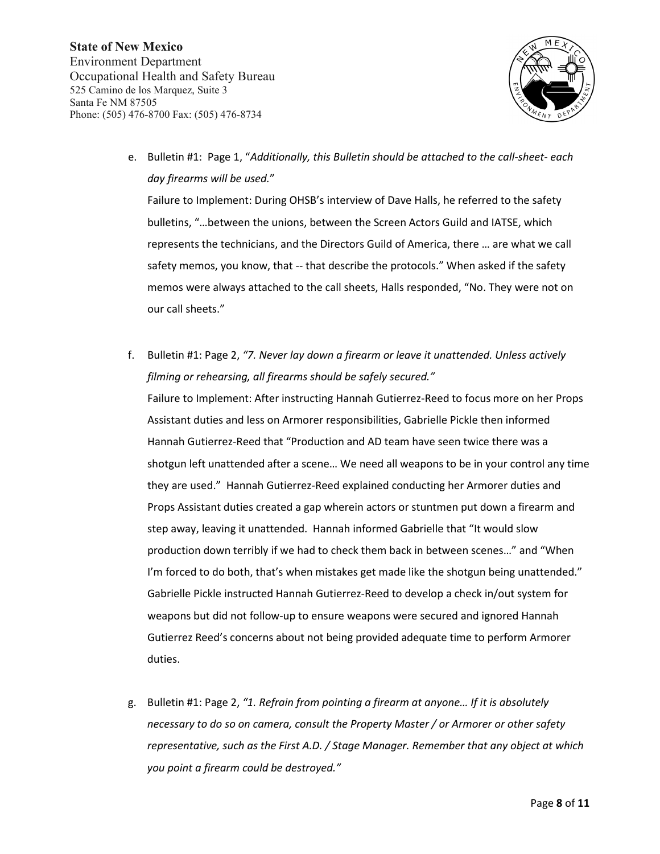

e. Bulletin #1: Page 1, "*Additionally, this Bulletin should be attached to the call-sheet- each day firearms will be used.*"

Failure to Implement: During OHSB's interview of Dave Halls, he referred to the safety bulletins, "…between the unions, between the Screen Actors Guild and IATSE, which represents the technicians, and the Directors Guild of America, there … are what we call safety memos, you know, that -- that describe the protocols." When asked if the safety memos were always attached to the call sheets, Halls responded, "No. They were not on our call sheets."

- f. Bulletin #1: Page 2, *"7. Never lay down a firearm or leave it unattended. Unless actively filming or rehearsing, all firearms should be safely secured."* Failure to Implement: After instructing Hannah Gutierrez-Reed to focus more on her Props Assistant duties and less on Armorer responsibilities, Gabrielle Pickle then informed Hannah Gutierrez-Reed that "Production and AD team have seen twice there was a shotgun left unattended after a scene… We need all weapons to be in your control any time they are used." Hannah Gutierrez-Reed explained conducting her Armorer duties and Props Assistant duties created a gap wherein actors or stuntmen put down a firearm and step away, leaving it unattended. Hannah informed Gabrielle that "It would slow production down terribly if we had to check them back in between scenes…" and "When I'm forced to do both, that's when mistakes get made like the shotgun being unattended." Gabrielle Pickle instructed Hannah Gutierrez-Reed to develop a check in/out system for weapons but did not follow-up to ensure weapons were secured and ignored Hannah Gutierrez Reed's concerns about not being provided adequate time to perform Armorer duties.
- g. Bulletin #1: Page 2, *"1. Refrain from pointing a firearm at anyone… If it is absolutely necessary to do so on camera, consult the Property Master / or Armorer or other safety representative, such as the First A.D. / Stage Manager. Remember that any object at which you point a firearm could be destroyed."*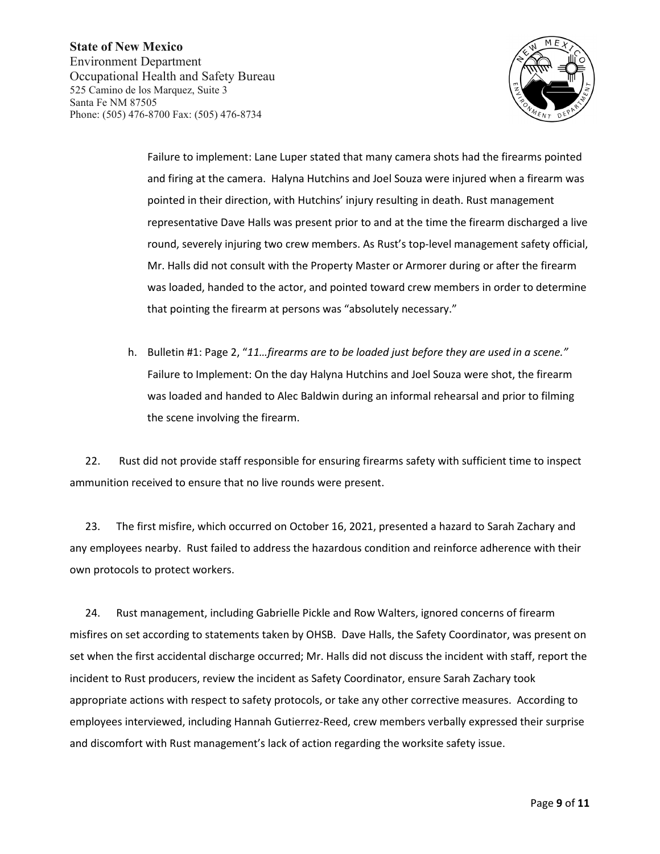

Failure to implement: Lane Luper stated that many camera shots had the firearms pointed and firing at the camera. Halyna Hutchins and Joel Souza were injured when a firearm was pointed in their direction, with Hutchins' injury resulting in death. Rust management representative Dave Halls was present prior to and at the time the firearm discharged a live round, severely injuring two crew members. As Rust's top-level management safety official, Mr. Halls did not consult with the Property Master or Armorer during or after the firearm was loaded, handed to the actor, and pointed toward crew members in order to determine that pointing the firearm at persons was "absolutely necessary."

h. Bulletin #1: Page 2, "*11…firearms are to be loaded just before they are used in a scene."* Failure to Implement: On the day Halyna Hutchins and Joel Souza were shot, the firearm was loaded and handed to Alec Baldwin during an informal rehearsal and prior to filming the scene involving the firearm.

22. Rust did not provide staff responsible for ensuring firearms safety with sufficient time to inspect ammunition received to ensure that no live rounds were present.

23. The first misfire, which occurred on October 16, 2021, presented a hazard to Sarah Zachary and any employees nearby. Rust failed to address the hazardous condition and reinforce adherence with their own protocols to protect workers.

24. Rust management, including Gabrielle Pickle and Row Walters, ignored concerns of firearm misfires on set according to statements taken by OHSB. Dave Halls, the Safety Coordinator, was present on set when the first accidental discharge occurred; Mr. Halls did not discuss the incident with staff, report the incident to Rust producers, review the incident as Safety Coordinator, ensure Sarah Zachary took appropriate actions with respect to safety protocols, or take any other corrective measures. According to employees interviewed, including Hannah Gutierrez-Reed, crew members verbally expressed their surprise and discomfort with Rust management's lack of action regarding the worksite safety issue.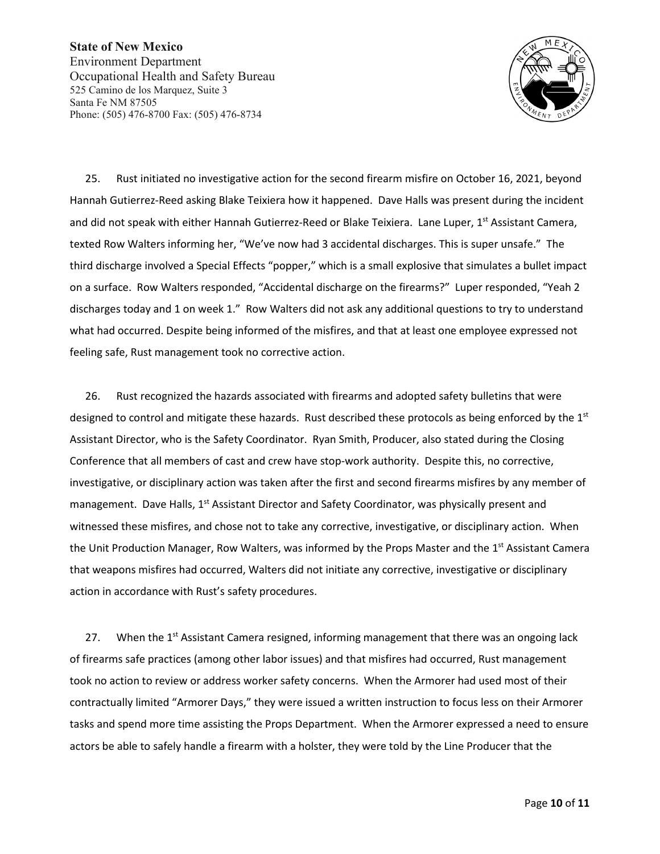

25. Rust initiated no investigative action for the second firearm misfire on October 16, 2021, beyond Hannah Gutierrez-Reed asking Blake Teixiera how it happened. Dave Halls was present during the incident and did not speak with either Hannah Gutierrez-Reed or Blake Teixiera. Lane Luper, 1<sup>st</sup> Assistant Camera, texted Row Walters informing her, "We've now had 3 accidental discharges. This is super unsafe." The third discharge involved a Special Effects "popper," which is a small explosive that simulates a bullet impact on a surface. Row Walters responded, "Accidental discharge on the firearms?" Luper responded, "Yeah 2 discharges today and 1 on week 1." Row Walters did not ask any additional questions to try to understand what had occurred. Despite being informed of the misfires, and that at least one employee expressed not feeling safe, Rust management took no corrective action.

26. Rust recognized the hazards associated with firearms and adopted safety bulletins that were designed to control and mitigate these hazards. Rust described these protocols as being enforced by the  $1<sup>st</sup>$ Assistant Director, who is the Safety Coordinator. Ryan Smith, Producer, also stated during the Closing Conference that all members of cast and crew have stop-work authority. Despite this, no corrective, investigative, or disciplinary action was taken after the first and second firearms misfires by any member of management. Dave Halls, 1<sup>st</sup> Assistant Director and Safety Coordinator, was physically present and witnessed these misfires, and chose not to take any corrective, investigative, or disciplinary action. When the Unit Production Manager, Row Walters, was informed by the Props Master and the 1<sup>st</sup> Assistant Camera that weapons misfires had occurred, Walters did not initiate any corrective, investigative or disciplinary action in accordance with Rust's safety procedures.

27. When the  $1<sup>st</sup>$  Assistant Camera resigned, informing management that there was an ongoing lack of firearms safe practices (among other labor issues) and that misfires had occurred, Rust management took no action to review or address worker safety concerns. When the Armorer had used most of their contractually limited "Armorer Days," they were issued a written instruction to focus less on their Armorer tasks and spend more time assisting the Props Department. When the Armorer expressed a need to ensure actors be able to safely handle a firearm with a holster, they were told by the Line Producer that the